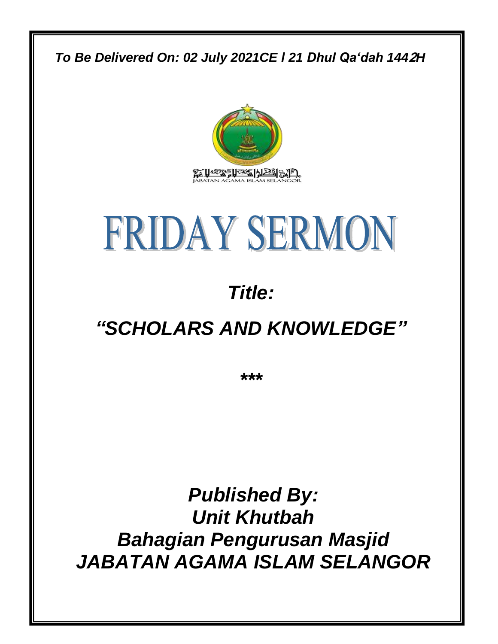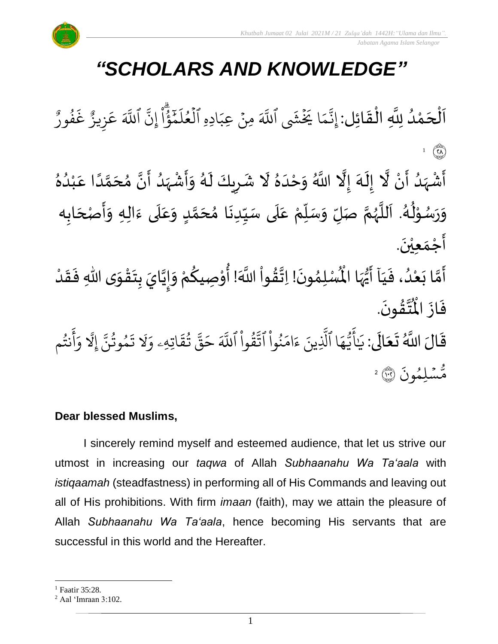

 *Jabatan Agama Islam Selangor*

# *"SCHOLARS AND KNOWLEDGE"*

 $\frac{1}{2}$ ن<br>ا اَلْحَمْدُ لِلَّهِ الْقَائِل: إِنَّمَا يَخْشَى ٍ<br>ا ْ  $\overline{\phantom{a}}$ ْ  $\overline{\phantom{a}}$  $\frac{1}{2}$ ْ ر<br>م م ىد<br>ب إِنَّمَا يَخَشَى ا ِ<br>آھ للَّهَ مِنْ عِبَادِهِ ِ مِنْ عِبَادِهِ الْعُلْمَّؤُ ؚ<br>•  $\frac{1}{1}$ ا قا<br>مح َہِ ته<br>حم ِ<br>ا ل ع ل و<br>م ر<br>1 ِیرِ<br>پ إِنّ ا ِ<br>آک ءِ<br>ر و<br>` للَّهَ عَزِيزٌ غَفُو و<br>و  $\ddot{\cdot}$ غ ِهِ زِيزٌ ِ<br>م ع 1  $\mathbb{C}$ ۠<br>•  $\ddot{\phantom{0}}$ ِ<br>ا ؚ<br>ۣ َ ِ<br>پ ِ<br>پر  $\tilde{\mathbf{r}}$ ل<br>الم ِ<br>ٌ  $\frac{1}{1}$  $\tilde{\cdot}$ ً<br>أ ِ<br>ٌ ِ<br>ا َ ً<br>ا َ  $\frac{1}{2}$ ِ<br>ُا ْ ्<br>नि  $\tilde{\cdot}$ ِ<br>رُ  $\ddot{\bullet}$  $\mathbf{r}$ 

أَشْهَدُ أَنْ لَّا إِلَهَ إِلَّا اللَّهُ وَحْدَهُ لَا شَرِيكَ لَهُ وَأَشْهَدُ أَنَّ مُحَمَّدًا عَبْدُهُ َ<br>زار<br>ر  $\frac{1}{2}$ ់<br>រ ั<br>ถ ๋<br>ጎ ً<br>زار<br>د  $\sum_{i=1}^{n}$ وَرَسُوْلُهُ. اَللَّهُمَّ صَلِّ وَسَلِّمْ عَلَى سَيِّدِنَا مُحَمَّدٍ وَعَلَى ءَالِهِ وَأَصْحَابِه ِّ  $\frac{1}{2}$  $\frac{1}{2}$ ี<br>ถึ ر<br>ر<br>ر ً<br>ا  $\overline{\phantom{a}}$ ر<br>ا ُ ֦֧֦֧֦ ر<br>ر<br>ر  $\ddot{\phantom{0}}$  $\frac{1}{2}$ َ<br>آ ِ<br>م  $\frac{1}{2}$ <u>لم</u> ั<br>ว  $\frac{1}{2}$ ا<br>با ِّ ֦֧׆֧֦֧<br>֧֢֢֓֓׆  $\frac{1}{2}$ َ<br>آ َ  $\frac{1}{2}$  $\overline{\phantom{a}}$  $\ddot{\phantom{0}}$  $\frac{1}{2}$  $\ddot{\phantom{0}}$ أَجْمَع<u>ِيْن</u>َ. ْ  $\frac{1}{2}$  $\frac{1}{2}$ 

.<br>أَمَّا بَعْدُ، فَيَاۤ أَيُّهَا الْمُسْلِمُونَ! اِتَّقُواْ اللَّهَ! أُوْصِيكُمْ وَإِيَّايَ بِتَـ  $\frac{1}{1}$  $\ddot{\cdot}$ ر<br>ا ْ  $\ddot{\cdot}$ ี<br>วั ्<br>नि  $\ddot{\phantom{0}}$  $\frac{1}{2}$  $\frac{1}{2}$ َ  $\frac{1}{2}$  $\tilde{\cdot}$ ر<br>مخ ٝ<br>ؙ ُم<br>منظم<br>ا ؗ<br>أ <u>بر</u>  $\frac{1}{2}$  $\ddot{\phantom{0}}$  $\frac{1}{2}$ ُّمَا الْمُسْلِمُونَ! اِتَّقُواْ اللَّهَ! أُوْصِيكُمْ وَإِيَّايَ بِتَقْوَى اللّهِ فَقَدْ ً<br>نا<br>مرا ا<br>و<br>• ْ  $\frac{1}{2}$  $\ddot{\cdot}$  $\frac{1}{2}$ ֦֧<u>֦</u> .  $\ddot{\phantom{0}}$ ؾڤۏڹؘ <u>لا</u> ا<br>المجل ُ<br>ا فَازَ الْمُ  $\ddot{\cdot}$  $\ddot{\cdot}$ 

قَالَ اللَّهُ تَعَالَى: يَ ً<br>الم َ  $\ddot{\phantom{0}}$  $\ddot{\mathbf{r}}$ .<br>. يَايَّهَا ِ<br>م ه و<br>د سَ<br>ڊ ِ<br>ج ي<br>أَيُّهَا ٱلَّذِينَ لَّذِينَ ءَامَنُوا  $\tilde{a}$ ُو ِ<br>م ام ्<br>२ ءَامَنُوا اتَّقُوا  $\tilde{a}$ ور ِ<br>بہ تَّقَوا ا ِ<br>آک للَّهَ حَقَّ تُقَاتِهِ  $\ddot{\Omega}$ ق ت و<br>به ىر<br>مو قی  $\tilde{\xi}$ حَقَّ تَقَاتِهِۦ  $\frac{1}{\alpha}$ وَلَا تَمُوثُنَّ إِ  $\ddot{\phantom{0}}$ مُوتَنَّ ور و  $\ddot{\cdot}$ تَمُوتُنَّ إِلَّا وَأَنتُم ِ<br>الإ و<br>به ِ<br>ج أ  $\frac{1}{\alpha}$ و .<br>` ر<br>مَّسۡلِمُونَ و<br>م مَّسۡلِمُونَ ۞ ۚ

### **Dear blessed Muslims,**

I sincerely remind myself and esteemed audience, that let us strive our utmost in increasing our *taqwa* of Allah *Subhaanahu Wa Ta'aala* with *istiqaamah* (steadfastness) in performing all of His Commands and leaving out all of His prohibitions. With firm *imaan* (faith), may we attain the pleasure of Allah *Subhaanahu Wa Ta'aala*, hence becoming His servants that are successful in this world and the Hereafter.

<sup>&</sup>lt;sup>1</sup> Faatir 35:28.

<sup>2</sup> Aal 'Imraan 3:102.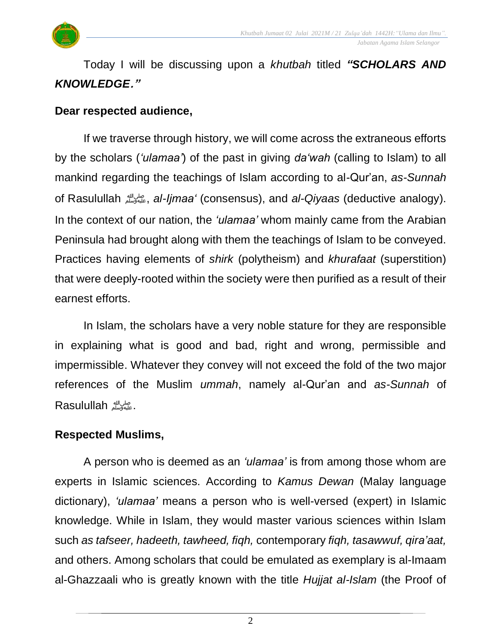

 *Jabatan Agama Islam Selangor*

Today I will be discussing upon a *khutbah* titled *"SCHOLARS AND KNOWLEDGE* **."**

#### **Dear respected audience,**

If we traverse through history, we will come across the extraneous efforts by the scholars (*'ulamaa'*) of the past in giving *da'wah* (calling to Islam) to all mankind regarding the teachings of Islam according to al-Qur'an, *as-Sunnah* of Rasulullah صلى الله عليه وسلم, *al-Ijmaa'* (consensus), and *al-Qiyaas* (deductive analogy). In the context of our nation, the *'ulamaa'* whom mainly came from the Arabian Peninsula had brought along with them the teachings of Islam to be conveyed. Practices having elements of *shirk* (polytheism) and *khurafaat* (superstition) that were deeply-rooted within the society were then purified as a result of their earnest efforts.

In Islam, the scholars have a very noble stature for they are responsible in explaining what is good and bad, right and wrong, permissible and impermissible. Whatever they convey will not exceed the fold of the two major references of the Muslim *ummah*, namely al-Qur'an and *as-Sunnah* of .صلى الله عليه وسلم Rasulullah

#### **Respected Muslims,**

A person who is deemed as an *'ulamaa'* is from among those whom are experts in Islamic sciences. According to *Kamus Dewan* (Malay language dictionary), *'ulamaa'* means a person who is well-versed (expert) in Islamic knowledge. While in Islam, they would master various sciences within Islam such *as tafseer, hadeeth, tawheed, fiqh,* contemporary *fiqh, tasawwuf, qira'aat,* and others. Among scholars that could be emulated as exemplary is al-Imaam al-Ghazzaali who is greatly known with the title *Hujjat al-Islam* (the Proof of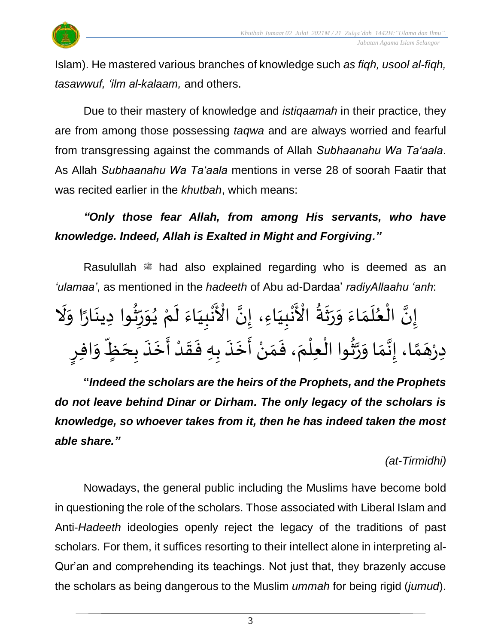

Islam). He mastered various branches of knowledge such *as fiqh, usool al-fiqh, tasawwuf, 'ilm al-kalaam,* and others.

Due to their mastery of knowledge and *istiqaamah* in their practice, they are from among those possessing *taqwa* and are always worried and fearful from transgressing against the commands of Allah *Subhaanahu Wa Ta'aala*. As Allah *Subhaanahu Wa Ta'aala* mentions in verse 28 of soorah Faatir that was recited earlier in the *khutbah*, which means:

# *"Only those fear Allah, from among His servants, who have knowledge. Indeed, Allah is Exalted in Might and Forgiving."*

Rasulullah  $*$  had also explained regarding who is deemed as an *'ulamaa'*, as mentioned in the *hadeeth* of Abu ad-Dardaa' *radiyAllaahu 'anh*:

َا<br>پنج َنْبِيَاءَ لَمْ يُوَرِّثُوا دِينَارًا وَلَا  $\frac{1}{2}$  $\ddot{\mathbf{z}}$  $\frac{1}{2}$ ..<br>پيد ر<br>ڊ  $\frac{1}{2}$  $\ddot{\ }$ ፟<br>፟ ْ ।<br>र  $\frac{1}{2}$  $\frac{1}{1}$ L<br>: ْ ِ<br>ْ du<br>نو َنْبِيَاءِ، إِنَّ الْأَ َ  $\frac{1}{1}$ L<br>: ْ ]-[<br>رُعُ إِنَّ الْعُلَمَاءَ وَرَثَةُ الْأَ ُ<br>پ ِ<br>په  $\frac{1}{2}$  $\frac{1}{2}$  $\frac{1}{2}$  $\frac{1}{2}$ َ<br>نا }<br>• ֦֧֦֦֦֦֦֖֦֦֦֝֝֝֟֟֟֝֟֝֟֟֟֟֟֟֟֟֟֟֩֕֟֓֟֓֟֓֟֓֟֓֟֓֟֩֕֟֩֕֟֩֕֟֩֩ ن<br>• دِرْهَمَّا، إِنَّمَا وَرَّثُوا الْعِلْمَ، فَمَنْ أَخَذَ بِهِ فَقَدْ أَخَذَ بِحَظٍّ وَافِرٍ }<br>ኤር ن<br>پ  $\frac{1}{2}$  $\frac{1}{2}$  $\frac{1}{2}$  $\frac{1}{2}$ ์<br>ี<br>้<br>  $\overline{\phantom{a}}$ ْ  $\ddot{\phantom{0}}$ ِّ  $\overline{\phantom{a}}$  $\ddot{\cdot}$  $\ddot{\phantom{0}}$ ें<br>ने ْ  $\frac{1}{2}$  $\frac{1}{2}$  $\ddot{\cdot}$ —<br>◆<br>◆ <u>:</u><br>-<br>-۫<br>ؙ  $\frac{1}{2}$  $\frac{1}{2}$  $\ddot{\phantom{0}}$ ٝ<br>ا ْ

**"***Indeed the scholars are the heirs of the Prophets, and the Prophets do not leave behind Dinar or Dirham. The only legacy of the scholars is knowledge, so whoever takes from it, then he has indeed taken the most able share."*

## *(at-Tirmidhi)*

Nowadays, the general public including the Muslims have become bold in questioning the role of the scholars. Those associated with Liberal Islam and Anti-*Hadeeth* ideologies openly reject the legacy of the traditions of past scholars. For them, it suffices resorting to their intellect alone in interpreting al-Qur'an and comprehending its teachings. Not just that, they brazenly accuse the scholars as being dangerous to the Muslim *ummah* for being rigid (*jumud*).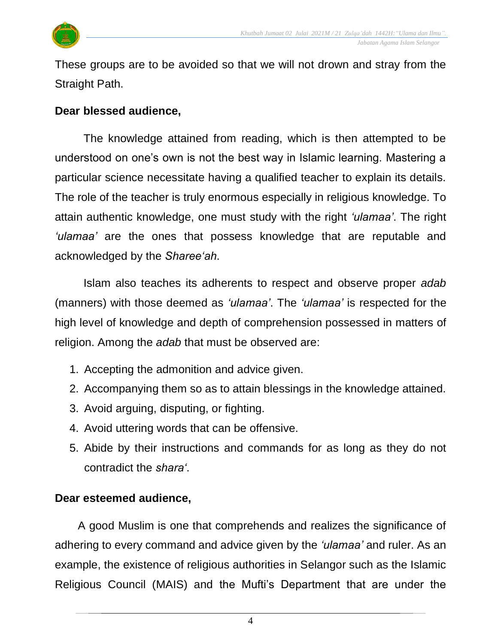

These groups are to be avoided so that we will not drown and stray from the Straight Path.

#### **Dear blessed audience,**

The knowledge attained from reading, which is then attempted to be understood on one's own is not the best way in Islamic learning. Mastering a particular science necessitate having a qualified teacher to explain its details. The role of the teacher is truly enormous especially in religious knowledge. To attain authentic knowledge, one must study with the right *'ulamaa'*. The right *'ulamaa'* are the ones that possess knowledge that are reputable and acknowledged by the *Sharee'ah*.

Islam also teaches its adherents to respect and observe proper *adab* (manners) with those deemed as *'ulamaa'*. The *'ulamaa'* is respected for the high level of knowledge and depth of comprehension possessed in matters of religion. Among the *adab* that must be observed are:

- 1. Accepting the admonition and advice given.
- 2. Accompanying them so as to attain blessings in the knowledge attained.
- 3. Avoid arguing, disputing, or fighting.
- 4. Avoid uttering words that can be offensive.
- 5. Abide by their instructions and commands for as long as they do not contradict the *shara'*.

### **Dear esteemed audience,**

A good Muslim is one that comprehends and realizes the significance of adhering to every command and advice given by the *'ulamaa'* and ruler. As an example, the existence of religious authorities in Selangor such as the Islamic Religious Council (MAIS) and the Mufti's Department that are under the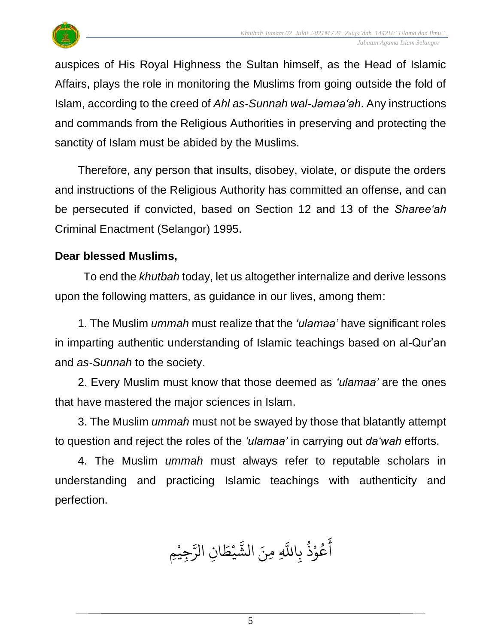

auspices of His Royal Highness the Sultan himself, as the Head of Islamic Affairs, plays the role in monitoring the Muslims from going outside the fold of Islam, according to the creed of *Ahl as-Sunnah wal-Jamaa'ah*. Any instructions and commands from the Religious Authorities in preserving and protecting the sanctity of Islam must be abided by the Muslims.

Therefore, any person that insults, disobey, violate, or dispute the orders and instructions of the Religious Authority has committed an offense, and can be persecuted if convicted, based on Section 12 and 13 of the *Sharee'ah* Criminal Enactment (Selangor) 1995.

#### **Dear blessed Muslims,**

To end the *khutbah* today, let us altogether internalize and derive lessons upon the following matters, as guidance in our lives, among them:

1. The Muslim *ummah* must realize that the *'ulamaa'* have significant roles in imparting authentic understanding of Islamic teachings based on al-Qur'an and *as-Sunnah* to the society.

2. Every Muslim must know that those deemed as *'ulamaa'* are the ones that have mastered the major sciences in Islam.

3. The Muslim *ummah* must not be swayed by those that blatantly attempt to question and reject the roles of the *'ulamaa'* in carrying out *da'wah* efforts.

4. The Muslim *ummah* must always refer to reputable scholars in understanding and practicing Islamic teachings with authenticity and perfection.

ُحِيْمِ<br>-<  $\overline{a}$ ِ<br>سَ ِن الر ا  $\tilde{\xi}$ ط ي  $\ddot{\phantom{0}}$ بر<br>په لَّهِ مِنَ الشَّ عُوْذُ بِاللَّهِ و<br>ڊ  $\ddot{\phantom{0}}$ و<br>م ِ<br>ج أ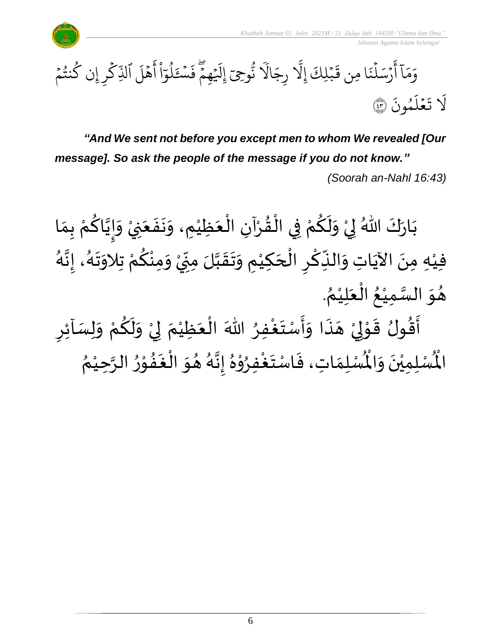



*"And We sent not before you except men to whom We revealed [Our message]. So ask the people of the message if you do not know." (Soorah an-Nahl 16:43)*

ْ بَارَكَ اللّهُ لِيْ وَلَكُمْ فِي الْقُرْآنِ الْعَظِيْمِ، وَنَفَعَنِيْ وَإِيَّاكُمْ بِمَا  $\frac{1}{2}$  $\frac{1}{2}$  $\ddot{\phantom{0}}$  $\frac{1}{2}$ ់<br>រ  $\ddot{\phantom{0}}$ ْ ْ  $\frac{1}{2}$ ֦֧֦֧֦֦֧֦֧֝֟֓֓<u>֚</u> ْ ِ<br>م  $\tilde{\mathbf{r}}$  $\ddot{\ }$ ْ  $\frac{1}{2}$  $\ddot{\phantom{0}}$  $\frac{1}{2}$ ៝<br><del>៹</del> ِ<br>م َ  $\frac{1}{2}$  $\tilde{\phantom{a}}$ فيْهِ مِنَ الآيَاتِ وَالنِّكْرِ الْحَكِيْمِ وَتَقَبَّلَ مِنِّيْ وَمِنْكُمْ تِلاَوَتَهُ، إِنَّهُ ْ  $\overline{\phantom{a}}$ ֧֪֧֝֟֟֝֟֟֟֟֟֟֓֟֓֟֓֕֝֟  $\overline{\phantom{a}}$ ِّ  $\ddot{\cdot}$ َ<br>م ِ<br>پُ  $\ddot{\phantom{0}}$ ْ ر<br>ا َ<br>پن<br>:  $\frac{1}{2}$ ر<br>پر  $\frac{1}{2}$  $\ddot{\phantom{0}}$ ْ <u>ل</u>و ْ  $\frac{1}{2}$ ْ ِّ  $\sum$ ن<br>ا  $\frac{1}{2}$  $\ddot{\phantom{0}}$  $\frac{1}{2}$ . ُ هُوَ السَّمِيْعُ الْعَلِيْمُ ْ  $\ddot{\bullet}$ ֚֝֟<br>֧֝֟֓֟֓֟֓֟֓֟֓֟֓֟֓֟֓֟֓֟֓֟֓֟֓֟֓֟֓֟֓֟֓֟֩֓֟֓֟֩֕ ُ ់<br>រ ن<br>س  $\ddot{\ }$  $\frac{1}{2}$ 

 $\overline{\phantom{a}}$ أَقُولُ قَوْلِيْ هَذَا وَأَسْتَغْفِرُ اللّٰهَ الْعَظِيْمَ لِيْ وَلَكُمْ وَلِسَاْئِرِ  $\tilde{\cdot}$ ْ ِ<br>م  $\tilde{\cdot}$  $\frac{1}{2}$ ْ إ  $\ddot{\phantom{0}}$ ْ  $\ddot{\phantom{0}}$ ֦֧֦֧֦֧֝<u>֦</u> ُِ<br>و  $\ddot{\phantom{0}}$  $\frac{1}{2}$  $\tilde{\cdot}$ ै।<br>र  $\overline{\phantom{a}}$ ْ إ ֦֧֦֧֦֧֦֧֦֧֦֧֦֧֦֧֦֧֦֧֦֧֦֧֦֧<br>**֧**  $\frac{1}{2}$  $\frac{1}{2}$  $\frac{1}{2}$  $\frac{1}{2}$ ري<br>لْسُلِمَاتِ، فَاسْتَغْفِرُوْهُ إِنَّهُ هُوَ الْغَفُوْرُ ֦֧֦֧֦֦֧֦֧֦֧֦֧֦֧֦֧֦֧֦֧֝֟֓֓֟֓֓<br>**֧** ام<br>بر<br>م  $\frac{1}{2}$ ا<br>ا  $\ddot{\ }$  $\frac{1}{2}$ ء<br>أم  $\ddot{\phantom{0}}$  $\frac{1}{2}$ ፟<br>፞ י<br>י بر<br>ا م<br>و  $\ddot{\phantom{0}}$  $\ddot{\cdot}$  $\frac{1}{\alpha}$ رت<br>لْمُسْلِمِيْنَ وَالْمُ  $\tilde{\cdot}$  $\ddot{\phantom{0}}$ ْ الْمُمْلِمِيْنَ وَالْمُمْلِمَاتِ، فَاسْتَغْفِرُوْهُ إِنَّهُ هُوَ الْغَفُوْرُ الرَّحِيْمُ }<br>**′** ំ<br>រ ن<br>پ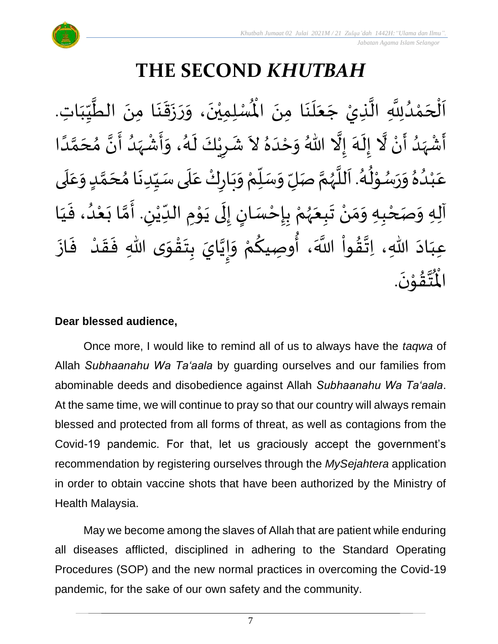

 *Jabatan Agama Islam Selangor*

# **THE SECOND** *KHUTBAH*

لْمُسْلِمِيْنَ، وَرَزَقَنَا مِنَ الطَّيِّبَاتِ  $\frac{1}{1}$ しんけい  $\frac{1}{2}$ ل<br>محمد<br>ا  $\ddot{\phantom{0}}$  $\ddot{\phantom{0}}$  $\ddot{\phantom{0}}$  $\ddot{\phantom{0}}$  $\frac{1}{2}$  $\ddot{\ }$  $\ddot{\phantom{0}}$ ْ اَلْحَمْدُلِلَّهِ الَّذِيْ جَعَلَنَا مِنَ الْمُسْلِمِيْنَ، وَرَزَقَنَا مِنَ الطَّيِّبَاتِ.  $\ddot{\phantom{0}}$  $\ddot{\phantom{0}}$ ِ<br>ا  $\ddot{\bullet}$  $\overline{\phantom{a}}$ ر<br>ا **ت**<br>• ر<br>ا ْ  $\overline{\phantom{a}}$ ֦֧֦֧֦֧֦֧֦֧֦֧֦֧֦֧֧֝֝֟֓֓֜֓֓<u>֚</u>  $\overline{\phantom{a}}$ ्<br>र أَشْهَدُ أَنْ لَّا إِلَهَ إِلَّا اللّهُ وَحْدَهُ لاَ شَرِيْكَ لَهُ، وَأَشْهَدُ أَنَّ مُحَمَّدًا ْ  $\sum_{i=1}^{n}$  $\frac{1}{1}$ َ<br>پر<br>ر ْ  $\sum_{i=1}^{n}$ ِ<br>ا ्<br>न  $\frac{1}{\epsilon}$  $\frac{1}{2}$  $\ddot{\phantom{0}}$ ِ<br>پ  $\frac{1}{1}$  $\tilde{\cdot}$ ً<br>أ ั<br>ั َ  $\frac{1}{2}$ َ ا<br>من ِ<br>ُ'  $\frac{1}{2}$ ْ ا<br>:<br>:  $\frac{1}{2}$ د<br>گ  $\tilde{\cdot}$ ٝ<br>ؙ  $\overline{\phantom{a}}$ ្រៃ $\frac{1}{2}$ عَبْدُهُ وَرَسُوْلُهُ. اَللَّهُمَّ صَلِّ وَسَلِّمْ وَبَارِكْ عَلَى سَيِّدِنَا مُحَمَّدٍ وَعَلَى <u>لم</u> ั<br>ั  $\overline{\phantom{a}}$ ๋<br>ጎ े<br>-<br>• ِّ  $\frac{1}{2}$  $\frac{1}{1}$  $\frac{1}{2}$ ْ  $\ddot{\phantom{0}}$  $\frac{1}{2}$ ْ ِّ  $\frac{1}{2}$  $\frac{1}{2}$ َ ر<br>ر<br>ر ً<br>ا<br>ا  $\ddot{\phantom{0}}$ ر<br>گ ُ י<br>י ر<br>م  $\frac{1}{2}$  $\frac{1}{2}$ <sub>ይ</sub><br>▲ .<br>د ់<br>(  $\frac{1}{2}$  $\overline{\mathbf{1}}$  $\frac{1}{2}$  $\frac{1}{2}$ آلِهِ وَصَحْبِهِ وَمَنْ تَبِعَهُمْ بِإِحْسَانٍ إِلَى يَوْمِ الدِّيْنِ. أَمَّا بَعْدُ، فَيَا  $\frac{1}{1}$  $\ddot{\cdot}$ م<br>د י<br>י  $\ddot{\phantom{0}}$ ี้<br>วั ِ<br>پنج لي ْ  $\frac{1}{1}$  $\ddot{\phantom{0}}$ י<br>י  $\ddot{\ }$  $\tilde{\cdot}$ ل  $\frac{1}{2}$ <u>زِ</u> ْ  $\frac{1}{2}$ ْ ر<br>ر<br>ر  $\ddot{\phantom{0}}$  $\frac{1}{2}$ ْ  $\frac{1}{2}$  $\frac{1}{2}$ ْ ٔ<br>ا وا ق هللا، ات اد عب از ف د ق ى هللا ف و ق ت ب ايَ ي إ و م و صيك ، أ َّللا ََ ِ<br>مُذ  $\frac{1}{2}$  $\sim$  $\frac{1}{1}$  $\ddot{\cdot}$  $\ddot{\cdot}$ ْ  $\frac{1}{2}$  $\ddot{\cdot}$  $\ddot{\phantom{0}}$ ֦֧֦֧֦֧֝<u>֦</u> ا<br>۔<br>\*  $\frac{1}{2}$ ن<br>• !<br>-<br>- $\ddot{\ }$ ْ <u>۽</u>  $\begin{matrix} 1 \\ 2 \\ 3 \\ 4 \end{matrix}$ .  $\ddot{\phantom{0}}$ ؾڤۊ۫ڹؘ ֦֧֦֧֦  $\frac{1}{2}$ َ<br>ئىق<br>ج  $\frac{1}{\sqrt{2}}$ اْل

#### **Dear blessed audience,**

Once more, I would like to remind all of us to always have the *taqwa* of Allah *Subhaanahu Wa Ta'aala* by guarding ourselves and our families from abominable deeds and disobedience against Allah *Subhaanahu Wa Ta'aala*. At the same time, we will continue to pray so that our country will always remain blessed and protected from all forms of threat, as well as contagions from the Covid-19 pandemic. For that, let us graciously accept the government's recommendation by registering ourselves through the *MySejahtera* application in order to obtain vaccine shots that have been authorized by the Ministry of Health Malaysia.

May we become among the slaves of Allah that are patient while enduring all diseases afflicted, disciplined in adhering to the Standard Operating Procedures (SOP) and the new normal practices in overcoming the Covid-19 pandemic, for the sake of our own safety and the community.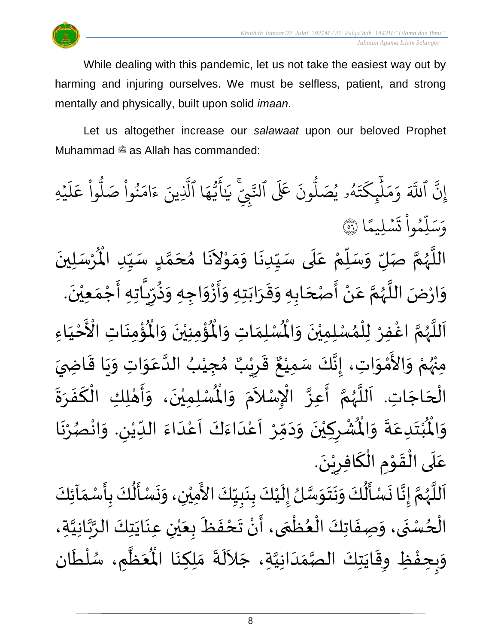

While dealing with this pandemic, let us not take the easiest way out by harming and injuring ourselves. We must be selfless, patient, and strong mentally and physically, built upon solid *imaan*.

Let us altogether increase our *salawaat* upon our beloved Prophet Muhammad  $\stackrel{\text{\tiny def}}{=}$  as Allah has commanded:

بہ<br>• إِنَّ آ ِ<br>آک للَّهَ وَمَلْيِكْتَهُ و<br>لم  $\ddot{\cdot}$ ت ر<br>م ِك ئ بر<br>ا  $\uparrow$ ِ<br>م بر<br>م  $\frac{1}{\alpha}$ وَمَلَٰٓئٍكَتَهُۥ يُصَلُّونَ عَلَى ون و<br>ا يُصَلُّونَ عَلَى ٱلنَّبِيِّ و<br>د ِ ي ֦֧ لتَّبِّيِّ ِ<br>په يَايَّهَا ِ<br>م ه و<br>مە سَ<br>ڊ ِ<br>ج أَيَّهَا ٱلَّذِينَ یہ<br>1 لَّذِينَ ءَامَنُوا صَلُوا عَلَيْهِ ؚ<br>ۣ ر<br>آ  $\uparrow$ ِ<br>م ع وا  $\tilde{a}$ و<br>ا نُواْ صَلُّ  $\tilde{a}$ ُ ِ<br>م ام ्<br>c ءَ ا  $\frac{2}{\lambda}$ ن*َسْ*لِيمً  $\ddot{\phantom{0}}$  $\ddot{\cdot}$ ت  $\frac{1}{1}$ وا ِم و ر<br>آ ل ِ<br>س وَسَلِّمُواْ تَسۡلِيمًا (َ ٛ اللَّهُمَّ صَلِّ وَسَلِّمْ عَلَى سَيِّدِنَا وَمَوْلاَنَا مُحَمَّدٍ سَيِّدِ الْمُرْسَلِينَ  $\ddot{\phantom{0}}$ ْ  $\mathbf{r}^{\circ}$ للَّهُمَّ صَلِّ وَسَلِّمْ عَلَى سَيِّدِنَا وَمَوْلاَنَا مُحَمَّدٍ سَيِّدِ الْمُ ِّ しんこ <u>لم</u> ี<br>ั<br>ุก  $\overline{\phantom{a}}$ ๋<br>ጎ  $\overline{\phantom{a}}$  $\tilde{\phantom{a}}$ ֦֧֦֧֦֦֧֦֧֦֧֦֝֟֓<br>**֧**  $\frac{1}{2}$  $\frac{1}{2}$  $\ddot{\phantom{0}}$ ِّ  $\mathbf{r}$ ِ<br>م ْ ِّي<br>ا  $\frac{1}{2}$  $\frac{1}{2}$ َ ر<br>ر<br>ر ہ<br>ا ़<br>; وَارْضَ اللَّهُمَّ عَنْ أَصْحَابِهِ وَقَرَابَتِهِ وَأَزْوَاجِهِ وَذُرِّيَّاتِهِ أَجْمَعِيْنَ. ْ  $\frac{1}{2}$ ֦֧֦֧֦֧<u>֦</u> بر<br>:<br>: ์<br>วี  $'$ ر ِ<br>په<br>م  $\frac{1}{2}$  $\frac{1}{2}$ ْ بِ -<br>:<br>:  $\frac{1}{2}$  $\ddot{\phantom{0}}$  $\frac{1}{2}$  $\frac{1}{2}$ ์ $\overline{\phantom{a}}$  $\overline{\phantom{a}}$ ֝׀<br>ֺ֧֪֪֪֝֜֝֝֝֝ ْ ِ<br>م َ ر<br>ر<br>ر َ<br>ا<br>ا  $\ddot{\ }$ اَللَّهُمَّ اغْفِرْ لِلْمُسْلِمِيْنَ وَالْمُسْلِمَاتِ وَالْمُؤْمِنِيْنَ وَالْمُؤْمِنَاتِ ี<br>ถ  $\frac{1}{2}$ ً<br>ا  $\overline{\phantom{a}}$  $\ddot{\phantom{0}}$ ؚ<br>پن  $\tilde{\mathbf{r}}$ ُؤْمِنِيْنَ وَالْمُ  $\tilde{\cdot}$  $\ddot{\phantom{0}}$ ْ ؚ<br>پن ُْ ِ<br>لْمُسْلِمَاتِ وَالْمُ  $\tilde{\cdot}$  $\frac{1}{2}$ غْفِرْ لِلْمُسْلِمِيْنَ وَالْمُسْلِمَاتِ وَالْمُؤْمِنِيْنَ وَالْمُؤْمِنَاتِ  $\frac{1}{2}$  $\ddot{\phantom{0}}$ ْ ›<br>ለ ؚ<br>ا ر<br>و َ مَ<br>مع الْأَحْيَاءِ  $\frac{1}{1}$ ْ ْ مِنْهُمْ وَالأَمْوَاتِ، إِنَّكَ سَمِيْعٌ قَرِيْبٌ مُجِيْبُ الدَّعَوَاتِ وَيَا قَاضِيَ ُ<br>ور<br>مر ْ ์<br>-<br>-ْ<br>ْ —<br>ع  $\ddot{\ }$  $\overline{\phantom{a}}$  $\ddot{\mathbf{r}}$  $\ddot{\phantom{0}}$  $\frac{1}{2}$  $\ddot{\ }$ ِ<br>م ن<br>ا ُ ْ  $\frac{1}{2}$ ه<br>**د ا** ي ر ق  $\sum$  $\frac{1}{2}$ ٌ ءَ ـَـرَ<br>، إِنَّكَ سَمِيْعٌ ٝ<br>ؙ ं<br>इ.  $\frac{1}{2}$ الْحَاجَاتِ. اَللَّهُمَّ أَعِزَّ الْإِسْلاَمَ وَ  $\overline{\phantom{a}}$ ۔<br>∤ ا<br>أ ر<br>آ ر<br>ر<br>ر ن<br>پ  $\ddot{\cdot}$ ្ .<br>م ्<br>र .<br>د  $\ddot{\ }$  $\bar{\ddot{\cdot}}$ الْمُسْلِمِيْنَ، وَأَهْلِكِ الْكَفَرَةَ ْ ْ ي  $\ddot{\phantom{0}}$  $\ddot{\phantom{0}}$  $\frac{1}{2}$  $\ddot{\cdot}$ ์<br>-<br>-֧֧֧֧֧֧֧֧֧֧֧֧֧֧֧֚֘֝֝֟֟֓֟֓֟֓֟֓֟֓֟֓֟֓֟֓֟֓֟֓֟֓֟֓֟֓֟֓֟֓֟֓֟֩֕֓֟֓֟֓֟֓֟֓֟֓֟֓֟֓֝֬֟֓֝֬֟֓֟֓֟֓֟֓֟֓֟֓֟֓֝֬֟ י<br>**י** ر<br>ب  $\ddot{\ }$ ُشْرِكِيْنَ وَدَمِّرْ اَعْدَاءَكَ اَعْدَاءَ اللِّيْنِ. وَانْصُرْنَا ر<br>.<br>. ْ ر<br>ر<br>ر ْ  $\frac{1}{2}$ لي ٝ<br>ؙ ِّ  $\frac{1}{2}$ ت<br>م<br>ا .<br>م  $\frac{1}{\sqrt{2}}$ َ<br>و  $\frac{1}{2}$  $\frac{1}{1}$ ْ<br>م  $\overline{\phantom{a}}$ ֧֦֧֝<u>֚</u>  $\frac{1}{2}$  $\sim$  $\frac{1}{2}$ ر<br>•<br>• ْ  $\overline{\phantom{a}}$ ْ  $\ddot{\hat{}}$ ُبْتَدِعَةً وَالْمُ  $\frac{1}{2}$  $\ddot{\cdot}$  $\frac{1}{2}$  $\ddot{\phantom{0}}$ ْ  $\ddot{\hat{}}$ اْل و  $\ddot{\ }$ י<br>י عَلَى الْقَوْمِ الْكَافِرِيْنَ. َ<br>الم ّ<br>ا े $\frac{1}{1}$ ِ<br>م  $\ddot{ }$ ْ  $\overline{\phantom{a}}$ .<br>په .<br>أ  $\ddot{\phantom{0}}$ اَللَّهُمَّ إِنَّا نَسْأَلُكَ وَنَتَوَسَّلُ إِلَيْكَ بِنَبِيِّكَ الأَمِيْنِ، وَنَسْأَلُكَ بِأَسْمَاَئِكَ ِّ しんこ L<br>:  $\ddot{\phantom{0}}$  $\ddot{\cdot}$ ٝ<br>ؙ  $\mathbf{r}$  $\frac{1}{2}$ ن<br>ر<br>ر  $\frac{1}{2}$  $\ddot{\phantom{0}}$ ا<br>.<br>.  $\frac{1}{2}$ ُ<br>الج َ<br>پنج  $\ddot{\cdot}$  $\frac{1}{2}$  $\frac{1}{2}$ ี<br>ถ ر<br>ر<br>ر ً<br>ا  $\overline{\phantom{a}}$  $\tilde{\epsilon}$  $\frac{1}{2}$  $\frac{1}{2}$ <u>د</u><br>: ا<br>الج  $\ddot{\phantom{0}}$  $\ddot{\phantom{0}}$  $\tilde{\cdot}$ ់<br> 

ے<br>•<br>• الْحُسْنَى، وَصِفَاتِكَ الْعُظْمَى، أَنْ تَحْفَظَ بِعَيْنِ عِنَايَتِكَ الرَّبَّانِيَّةِ، ر<br>م ֦֧<u>֚</u> ์<br>-<br>ก ֧֧֧֧֦֧֦֧֦֧֟֟֓֟֓֟֓֟֓֕֓֕֓֝֓֝֓֟֓<br>֧֧֧֧֧֝֩֩֩֩֓֓֓֝֓֝ ُ ֝֝֝֝֝֝֝֝֝֝<br>֝֝**֓**֓֟֘֟֟֝֟  $\ddot{\phantom{0}}$  $\tilde{\cdot}$ ن<br>ا ہ<br>پہ ہ<br>ر  $\ddot{\phantom{0}}$  $\ddot{\phantom{0}}$ ْ ي  $\ddot{\phantom{0}}$  $\mathbf{r}$  $\ddot{\cdot}$  $\frac{1}{2}$ ۔<br>•  $\sum_{i=1}^{n}$  $\tilde{\phantom{a}}$ وَبِحِفْظِ وِقَايَتِكَ الْصَّمَدَانِيَّةِ، جَلاَلَةَ مَلِكِنَا الْمُعَظَّمِ ن<br>ا  $\frac{1}{1}$  $\frac{1}{2}$ ر<br>ر<br>د د  $\ddot{\phantom{0}}$  $\ddot{\tilde{}}$ ໍ່<br>**ີ**  $\frac{1}{2}$  $\frac{1}{2}$  $\ddot{\cdot}$ ِ<br>آباد ے<br>تار  $\frac{1}{2}$  $\frac{1}{\sqrt{2}}$ مَلِكِنَا الْمُعَظَّمِ، سُلْطَان  $\ddot{\phantom{0}}$ .<br>م<br>م ْ<br>ا ر<br>ر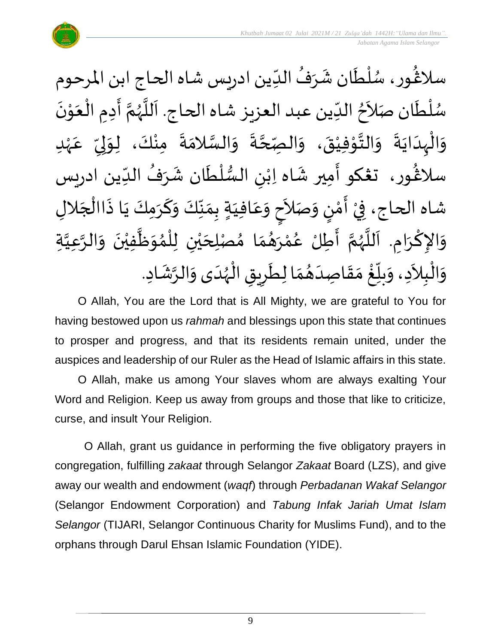

سلاڠُور، سُلْطَان شَرَفُ الدِّين ادريس شاه الحاج ابن المرحوم )<br>ፌ  $\frac{1}{1}$ ُ  $\ddot{\phantom{0}}$  $\ddot{\phantom{0}}$ ់<br>( ُ<br>ُ'  $\tilde{\phantom{a}}$ سُلْطَان صَلاَحُ الدِّين عبد العزيز شاه الحاج. اَللَّهُمَّ أَدِمِ الْعَوْنَ  $\ddot{\phantom{0}}$ ؗ<br>ا ر<br>م ั้<br>ถึ ر<br>ر<br>ر ِ<br>آ<br>ا  $\overline{\phantom{a}}$  $\frac{1}{1}$ <sup>ٍ</sup> .<br>•<br>• י<br>י  $\frac{1}{2}$ ْ  $\ddot{\phantom{0}}$ ا<br>}<br>} ى<br>وَالْبِدَايَةَ وَالنَّوْفِيْقَ، وَالْصِّحَّةَ وَالسَّلامَةَ مِنْكَ، لِوَلِيِّ عَہْدِ ْ ِ<br>م ِّ  $\frac{1}{2}$ إ  $\ddot{\ }$ ْ  $\ddot{\cdot}$  $\ddot{\ }$ ن<br>س  $\tilde{\cdot}$ ے۔<br>م ี<br>-<br>- $\tilde{\cdot}$  $\ddot{\phantom{0}}$ ْ י<br>י  $\frac{1}{2}$  $\frac{1}{2}$ ِ<br>په  $\ddot{\phantom{0}}$  $\frac{1}{1}$ ֦֧֦֧֦֧֝<u>֦</u>  $\tilde{\cdot}$ سلاْغُور، تغكو أَمِير شَاه اِبْنِ السُّلْطَان شَرَفُ الدِّين ادريس )<br>ፌ  $\frac{1}{1}$ ُ  $\frac{1}{2}$  $\tilde{\mathbf{r}}$ ٝ<br>ا  $\frac{3}{4}$ ٝ<br>ؙ َ َ شاه الحاج، فِيْ أَمْنٍ وَصَلاَحٍ وَعَافِيَةٍ بِمَنَّكَ وَكَرَمِكَ يَا ذَاالْجَلالِ  $\frac{1}{2}$ ֦֧<u>֓</u>  $\tilde{\phantom{a}}$  $\frac{1}{2}$ ر<br>! י<br>י  $\frac{1}{2}$  $\overline{\phantom{a}}$ ֦֧<u>֚</u> ا<br>.<br>.  $\ddot{\phantom{0}}$ ં<br>ન  $\tilde{\cdot}$ ِّ  $\frac{1}{\sqrt{2}}$  $\frac{1}{2}$  $\frac{1}{1}$ ُ<br>م  $\tilde{\cdot}$ **∣**  $\tilde{\cdot}$ وَالإِكْرَامِ. اَللَّهُمَّ أَطِّلْ عُمْرَهُمَا مُصْلِحَيْنِ لِلْمُوَظَّفِيْنَ وَالرَّعِيَّةِ ្វ<br>វ ہ<br>د  $\tilde{\cdot}$  $\ddot{\phantom{0}}$ ْ  $\tilde{\mathbf{r}}$  $\frac{1}{2}$ ๋<br>ለ `<br>ا ْ ي  $\overline{\phantom{a}}$ ๋<br>๋  $\frac{1}{2}$  $\frac{1}{2}$ ْ ر<br>م —<br>:<br>: ี<br>ถึ ر<br>ر<br>ر ہ<br>ا ِ<br>آ  $\ddot{\phantom{0}}$ ْ  $\sim$ وَالْبِلاَدِ، وَبِلّغْ مَقَاصِدَهُمَا لِطَرِيقِ الْهُدَى وَالرَّشَادِ. ֦֧֦֧֦֧֦֧֦֧֦֧֦֧֧֦֧֝֟֓֟֓֓֜֟֓֟֓<br>**֡**  $\tilde{\cdot}$  $\frac{1}{1}$ ر<br>ر<br>ر ֦֧֦֧֦֧֦֧֦֧֦֧֝֟֓֟֓֓֟֓֟֓֟֓֟֓֟֓֟֓֟֓֟֓֟֓֟֓֟֓֟֓֝֟֓<br>**֓**ׅׅ֧֓֡֡֡֜֡֓֡֟֓  $\overline{\phantom{a}}$ ا<br>م  $\frac{1}{2}$ }<br>፟  $\frac{1}{1}$  $\frac{1}{2}$  $\frac{1}{2}$ <u>់</u> ِّ  $\frac{1}{2}$  $\mathbf{r}$ ์ $\tilde{\cdot}$ 

O Allah, You are the Lord that is All Mighty, we are grateful to You for having bestowed upon us *rahmah* and blessings upon this state that continues to prosper and progress, and that its residents remain united, under the auspices and leadership of our Ruler as the Head of Islamic affairs in this state.

O Allah, make us among Your slaves whom are always exalting Your Word and Religion. Keep us away from groups and those that like to criticize, curse, and insult Your Religion.

O Allah, grant us guidance in performing the five obligatory prayers in congregation, fulfilling *zakaat* through Selangor *Zakaat* Board (LZS), and give away our wealth and endowment (*waqf*) through *Perbadanan Wakaf Selangor* (Selangor Endowment Corporation) and *Tabung Infak Jariah Umat Islam Selangor* (TIJARI, Selangor Continuous Charity for Muslims Fund), and to the orphans through Darul Ehsan Islamic Foundation (YIDE).